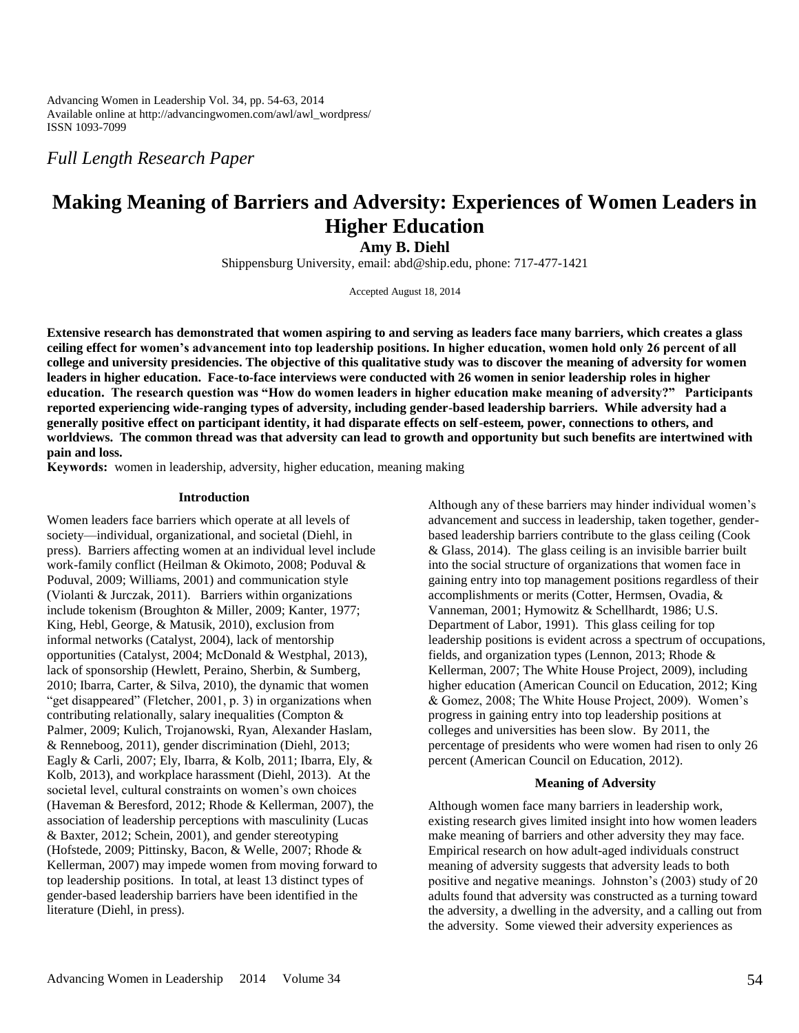Advancing Women in Leadership Vol. 34, pp. 54-63, 2014 Available online at http://advancingwomen.com/awl/awl\_wordpress/ ISSN 1093-7099

*Full Length Research Paper*

# **Making Meaning of Barriers and Adversity: Experiences of Women Leaders in Higher Education**

**Amy B. Diehl**

Shippensburg University, email: abd@ship.edu, phone: 717-477-1421

Accepted August 18, 2014

**Extensive research has demonstrated that women aspiring to and serving as leaders face many barriers, which creates a glass ceiling effect for women's advancement into top leadership positions. In higher education, women hold only 26 percent of all college and university presidencies. The objective of this qualitative study was to discover the meaning of adversity for women leaders in higher education. Face-to-face interviews were conducted with 26 women in senior leadership roles in higher education. The research question was "How do women leaders in higher education make meaning of adversity?" Participants reported experiencing wide-ranging types of adversity, including gender-based leadership barriers. While adversity had a generally positive effect on participant identity, it had disparate effects on self-esteem, power, connections to others, and worldviews. The common thread was that adversity can lead to growth and opportunity but such benefits are intertwined with pain and loss.**

**Keywords:** women in leadership, adversity, higher education, meaning making

#### **Introduction**

Women leaders face barriers which operate at all levels of society—individual, organizational, and societal (Diehl, in press). Barriers affecting women at an individual level include work-family conflict (Heilman & Okimoto, 2008; Poduval & Poduval, 2009; Williams, 2001) and communication style (Violanti & Jurczak, 2011). Barriers within organizations include tokenism (Broughton & Miller, 2009; Kanter, 1977; King, Hebl, George, & Matusik, 2010), exclusion from informal networks (Catalyst, 2004), lack of mentorship opportunities (Catalyst, 2004; McDonald & Westphal, 2013), lack of sponsorship (Hewlett, Peraino, Sherbin, & Sumberg, 2010; Ibarra, Carter, & Silva, 2010), the dynamic that women "get disappeared" (Fletcher, 2001, p. 3) in organizations when contributing relationally, salary inequalities (Compton & Palmer, 2009; Kulich, Trojanowski, Ryan, Alexander Haslam, & Renneboog, 2011), gender discrimination (Diehl, 2013; Eagly & Carli, 2007; Ely, Ibarra, & Kolb, 2011; Ibarra, Ely, & Kolb, 2013), and workplace harassment (Diehl, 2013). At the societal level, cultural constraints on women's own choices (Haveman & Beresford, 2012; Rhode & Kellerman, 2007), the association of leadership perceptions with masculinity (Lucas & Baxter, 2012; Schein, 2001), and gender stereotyping (Hofstede, 2009; Pittinsky, Bacon, & Welle, 2007; Rhode & Kellerman, 2007) may impede women from moving forward to top leadership positions. In total, at least 13 distinct types of gender-based leadership barriers have been identified in the literature (Diehl, in press).

Although any of these barriers may hinder individual women's advancement and success in leadership, taken together, genderbased leadership barriers contribute to the glass ceiling (Cook & Glass, 2014). The glass ceiling is an invisible barrier built into the social structure of organizations that women face in gaining entry into top management positions regardless of their accomplishments or merits (Cotter, Hermsen, Ovadia, & Vanneman, 2001; Hymowitz & Schellhardt, 1986; U.S. Department of Labor, 1991). This glass ceiling for top leadership positions is evident across a spectrum of occupations, fields, and organization types (Lennon, 2013; Rhode & Kellerman, 2007; The White House Project, 2009), including higher education (American Council on Education, 2012; King & Gomez, 2008; The White House Project, 2009). Women's progress in gaining entry into top leadership positions at colleges and universities has been slow. By 2011, the percentage of presidents who were women had risen to only 26 percent (American Council on Education, 2012).

#### **Meaning of Adversity**

Although women face many barriers in leadership work, existing research gives limited insight into how women leaders make meaning of barriers and other adversity they may face. Empirical research on how adult-aged individuals construct meaning of adversity suggests that adversity leads to both positive and negative meanings. Johnston's (2003) study of 20 adults found that adversity was constructed as a turning toward the adversity, a dwelling in the adversity, and a calling out from the adversity. Some viewed their adversity experiences as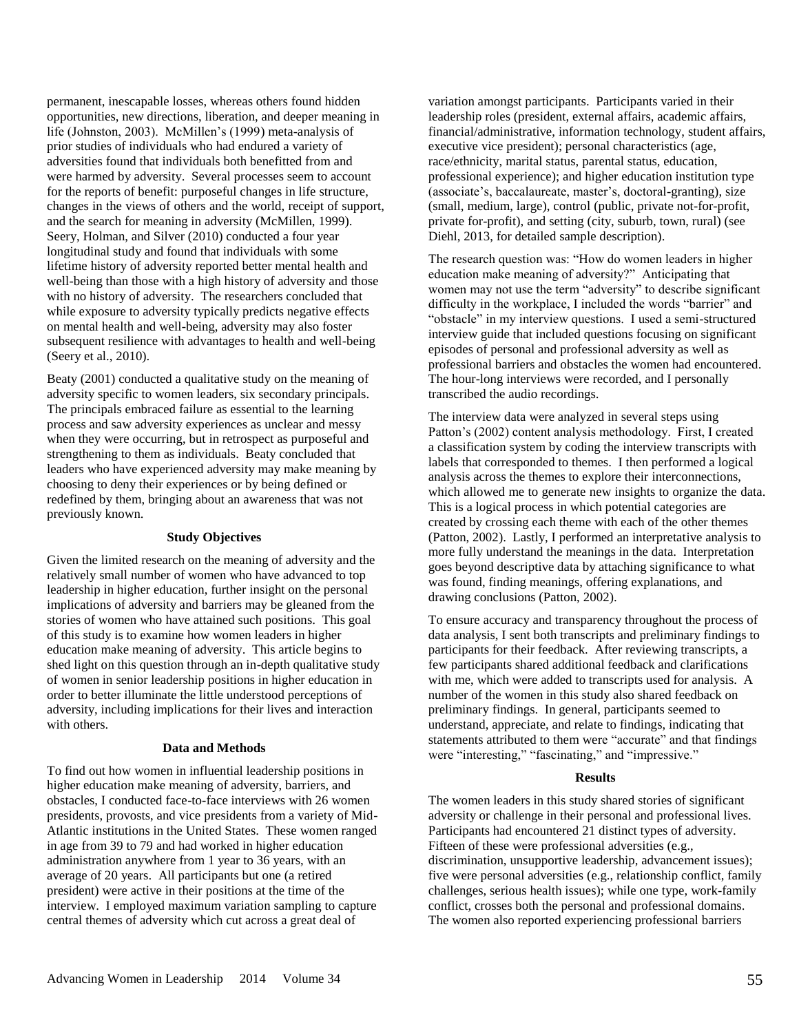permanent, inescapable losses, whereas others found hidden opportunities, new directions, liberation, and deeper meaning in life (Johnston, 2003). McMillen's (1999) meta-analysis of prior studies of individuals who had endured a variety of adversities found that individuals both benefitted from and were harmed by adversity. Several processes seem to account for the reports of benefit: purposeful changes in life structure, changes in the views of others and the world, receipt of support, and the search for meaning in adversity (McMillen, 1999). Seery, Holman, and Silver (2010) conducted a four year longitudinal study and found that individuals with some lifetime history of adversity reported better mental health and well-being than those with a high history of adversity and those with no history of adversity. The researchers concluded that while exposure to adversity typically predicts negative effects on mental health and well-being, adversity may also foster subsequent resilience with advantages to health and well-being (Seery et al., 2010).

Beaty (2001) conducted a qualitative study on the meaning of adversity specific to women leaders, six secondary principals. The principals embraced failure as essential to the learning process and saw adversity experiences as unclear and messy when they were occurring, but in retrospect as purposeful and strengthening to them as individuals. Beaty concluded that leaders who have experienced adversity may make meaning by choosing to deny their experiences or by being defined or redefined by them, bringing about an awareness that was not previously known.

### **Study Objectives**

Given the limited research on the meaning of adversity and the relatively small number of women who have advanced to top leadership in higher education, further insight on the personal implications of adversity and barriers may be gleaned from the stories of women who have attained such positions. This goal of this study is to examine how women leaders in higher education make meaning of adversity. This article begins to shed light on this question through an in-depth qualitative study of women in senior leadership positions in higher education in order to better illuminate the little understood perceptions of adversity, including implications for their lives and interaction with others.

#### **Data and Methods**

To find out how women in influential leadership positions in higher education make meaning of adversity, barriers, and obstacles, I conducted face-to-face interviews with 26 women presidents, provosts, and vice presidents from a variety of Mid-Atlantic institutions in the United States. These women ranged in age from 39 to 79 and had worked in higher education administration anywhere from 1 year to 36 years, with an average of 20 years. All participants but one (a retired president) were active in their positions at the time of the interview. I employed maximum variation sampling to capture central themes of adversity which cut across a great deal of

variation amongst participants. Participants varied in their leadership roles (president, external affairs, academic affairs, financial/administrative, information technology, student affairs, executive vice president); personal characteristics (age, race/ethnicity, marital status, parental status, education, professional experience); and higher education institution type (associate's, baccalaureate, master's, doctoral-granting), size (small, medium, large), control (public, private not-for-profit, private for-profit), and setting (city, suburb, town, rural) (see Diehl, 2013, for detailed sample description).

The research question was: "How do women leaders in higher education make meaning of adversity?" Anticipating that women may not use the term "adversity" to describe significant difficulty in the workplace, I included the words "barrier" and "obstacle" in my interview questions. I used a semi-structured interview guide that included questions focusing on significant episodes of personal and professional adversity as well as professional barriers and obstacles the women had encountered. The hour-long interviews were recorded, and I personally transcribed the audio recordings.

The interview data were analyzed in several steps using Patton's (2002) content analysis methodology. First, I created a classification system by coding the interview transcripts with labels that corresponded to themes. I then performed a logical analysis across the themes to explore their interconnections, which allowed me to generate new insights to organize the data. This is a logical process in which potential categories are created by crossing each theme with each of the other themes (Patton, 2002). Lastly, I performed an interpretative analysis to more fully understand the meanings in the data. Interpretation goes beyond descriptive data by attaching significance to what was found, finding meanings, offering explanations, and drawing conclusions (Patton, 2002).

To ensure accuracy and transparency throughout the process of data analysis, I sent both transcripts and preliminary findings to participants for their feedback. After reviewing transcripts, a few participants shared additional feedback and clarifications with me, which were added to transcripts used for analysis. A number of the women in this study also shared feedback on preliminary findings. In general, participants seemed to understand, appreciate, and relate to findings, indicating that statements attributed to them were "accurate" and that findings were "interesting," "fascinating," and "impressive."

#### **Results**

The women leaders in this study shared stories of significant adversity or challenge in their personal and professional lives. Participants had encountered 21 distinct types of adversity. Fifteen of these were professional adversities (e.g., discrimination, unsupportive leadership, advancement issues); five were personal adversities (e.g., relationship conflict, family challenges, serious health issues); while one type, work-family conflict, crosses both the personal and professional domains. The women also reported experiencing professional barriers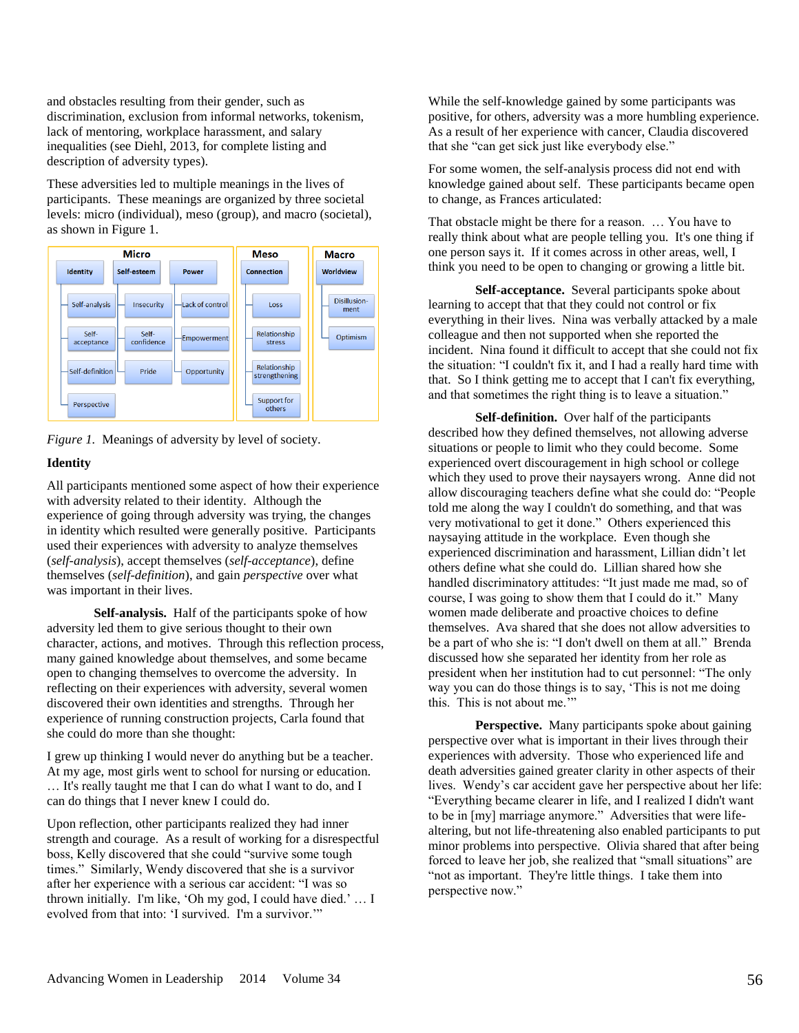and obstacles resulting from their gender, such as discrimination, exclusion from informal networks, tokenism, lack of mentoring, workplace harassment, and salary inequalities (see Diehl, 2013, for complete listing and description of adversity types).

These adversities led to multiple meanings in the lives of participants. These meanings are organized by three societal levels: micro (individual), meso (group), and macro (societal), as shown in Figure 1.





## **Identity**

All participants mentioned some aspect of how their experience with adversity related to their identity. Although the experience of going through adversity was trying, the changes in identity which resulted were generally positive. Participants used their experiences with adversity to analyze themselves (*self-analysis*), accept themselves (*self-acceptance*), define themselves (*self-definition*), and gain *perspective* over what was important in their lives.

**Self-analysis.** Half of the participants spoke of how adversity led them to give serious thought to their own character, actions, and motives. Through this reflection process, many gained knowledge about themselves, and some became open to changing themselves to overcome the adversity. In reflecting on their experiences with adversity, several women discovered their own identities and strengths. Through her experience of running construction projects, Carla found that she could do more than she thought:

I grew up thinking I would never do anything but be a teacher. At my age, most girls went to school for nursing or education. … It's really taught me that I can do what I want to do, and I can do things that I never knew I could do.

Upon reflection, other participants realized they had inner strength and courage. As a result of working for a disrespectful boss, Kelly discovered that she could "survive some tough times." Similarly, Wendy discovered that she is a survivor after her experience with a serious car accident: "I was so thrown initially. I'm like, 'Oh my god, I could have died.' … I evolved from that into: 'I survived. I'm a survivor.'"

While the self-knowledge gained by some participants was positive, for others, adversity was a more humbling experience. As a result of her experience with cancer, Claudia discovered that she "can get sick just like everybody else."

For some women, the self-analysis process did not end with knowledge gained about self. These participants became open to change, as Frances articulated:

That obstacle might be there for a reason. … You have to really think about what are people telling you. It's one thing if one person says it. If it comes across in other areas, well, I think you need to be open to changing or growing a little bit.

**Self-acceptance.** Several participants spoke about learning to accept that that they could not control or fix everything in their lives. Nina was verbally attacked by a male colleague and then not supported when she reported the incident. Nina found it difficult to accept that she could not fix the situation: "I couldn't fix it, and I had a really hard time with that. So I think getting me to accept that I can't fix everything, and that sometimes the right thing is to leave a situation."

**Self-definition.** Over half of the participants described how they defined themselves, not allowing adverse situations or people to limit who they could become. Some experienced overt discouragement in high school or college which they used to prove their naysayers wrong. Anne did not allow discouraging teachers define what she could do: "People told me along the way I couldn't do something, and that was very motivational to get it done." Others experienced this naysaying attitude in the workplace. Even though she experienced discrimination and harassment, Lillian didn't let others define what she could do. Lillian shared how she handled discriminatory attitudes: "It just made me mad, so of course, I was going to show them that I could do it." Many women made deliberate and proactive choices to define themselves. Ava shared that she does not allow adversities to be a part of who she is: "I don't dwell on them at all." Brenda discussed how she separated her identity from her role as president when her institution had to cut personnel: "The only way you can do those things is to say, 'This is not me doing this. This is not about me.'"

Perspective. Many participants spoke about gaining perspective over what is important in their lives through their experiences with adversity. Those who experienced life and death adversities gained greater clarity in other aspects of their lives. Wendy's car accident gave her perspective about her life: "Everything became clearer in life, and I realized I didn't want to be in [my] marriage anymore." Adversities that were lifealtering, but not life-threatening also enabled participants to put minor problems into perspective. Olivia shared that after being forced to leave her job, she realized that "small situations" are "not as important. They're little things. I take them into perspective now."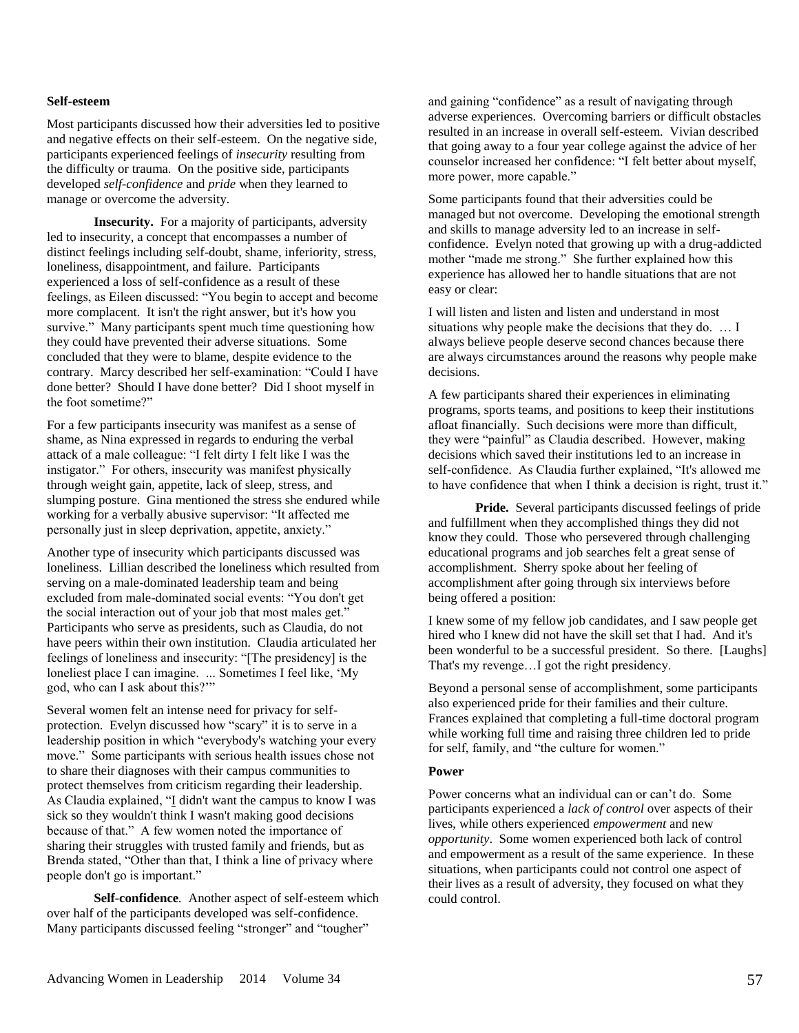#### **Self-esteem**

Most participants discussed how their adversities led to positive and negative effects on their self-esteem. On the negative side, participants experienced feelings of *insecurity* resulting from the difficulty or trauma. On the positive side, participants developed *self-confidence* and *pride* when they learned to manage or overcome the adversity.

**Insecurity.** For a majority of participants, adversity led to insecurity, a concept that encompasses a number of distinct feelings including self-doubt, shame, inferiority, stress, loneliness, disappointment, and failure. Participants experienced a loss of self-confidence as a result of these feelings, as Eileen discussed: "You begin to accept and become more complacent. It isn't the right answer, but it's how you survive." Many participants spent much time questioning how they could have prevented their adverse situations. Some concluded that they were to blame, despite evidence to the contrary. Marcy described her self-examination: "Could I have done better? Should I have done better? Did I shoot myself in the foot sometime?"

For a few participants insecurity was manifest as a sense of shame, as Nina expressed in regards to enduring the verbal attack of a male colleague: "I felt dirty I felt like I was the instigator." For others, insecurity was manifest physically through weight gain, appetite, lack of sleep, stress, and slumping posture. Gina mentioned the stress she endured while working for a verbally abusive supervisor: "It affected me personally just in sleep deprivation, appetite, anxiety."

Another type of insecurity which participants discussed was loneliness. Lillian described the loneliness which resulted from serving on a male-dominated leadership team and being excluded from male-dominated social events: "You don't get the social interaction out of your job that most males get." Participants who serve as presidents, such as Claudia, do not have peers within their own institution. Claudia articulated her feelings of loneliness and insecurity: "[The presidency] is the loneliest place I can imagine. ... Sometimes I feel like, 'My god, who can I ask about this?'"

Several women felt an intense need for privacy for selfprotection. Evelyn discussed how "scary" it is to serve in a leadership position in which "everybody's watching your every move." Some participants with serious health issues chose not to share their diagnoses with their campus communities to protect themselves from criticism regarding their leadership. As Claudia explained, "I didn't want the campus to know I was sick so they wouldn't think I wasn't making good decisions because of that." A few women noted the importance of sharing their struggles with trusted family and friends, but as Brenda stated, "Other than that, I think a line of privacy where people don't go is important."

**Self-confidence***.* Another aspect of self-esteem which over half of the participants developed was self-confidence. Many participants discussed feeling "stronger" and "tougher"

and gaining "confidence" as a result of navigating through adverse experiences. Overcoming barriers or difficult obstacles resulted in an increase in overall self-esteem. Vivian described that going away to a four year college against the advice of her counselor increased her confidence: "I felt better about myself, more power, more capable."

Some participants found that their adversities could be managed but not overcome. Developing the emotional strength and skills to manage adversity led to an increase in selfconfidence. Evelyn noted that growing up with a drug-addicted mother "made me strong." She further explained how this experience has allowed her to handle situations that are not easy or clear:

I will listen and listen and listen and understand in most situations why people make the decisions that they do. … I always believe people deserve second chances because there are always circumstances around the reasons why people make decisions.

A few participants shared their experiences in eliminating programs, sports teams, and positions to keep their institutions afloat financially. Such decisions were more than difficult, they were "painful" as Claudia described. However, making decisions which saved their institutions led to an increase in self-confidence. As Claudia further explained, "It's allowed me to have confidence that when I think a decision is right, trust it."

**Pride.** Several participants discussed feelings of pride and fulfillment when they accomplished things they did not know they could. Those who persevered through challenging educational programs and job searches felt a great sense of accomplishment. Sherry spoke about her feeling of accomplishment after going through six interviews before being offered a position:

I knew some of my fellow job candidates, and I saw people get hired who I knew did not have the skill set that I had. And it's been wonderful to be a successful president. So there. [Laughs] That's my revenge…I got the right presidency.

Beyond a personal sense of accomplishment, some participants also experienced pride for their families and their culture. Frances explained that completing a full-time doctoral program while working full time and raising three children led to pride for self, family, and "the culture for women."

#### **Power**

Power concerns what an individual can or can't do. Some participants experienced a *lack of control* over aspects of their lives, while others experienced *empowerment* and new *opportunity*. Some women experienced both lack of control and empowerment as a result of the same experience. In these situations, when participants could not control one aspect of their lives as a result of adversity, they focused on what they could control.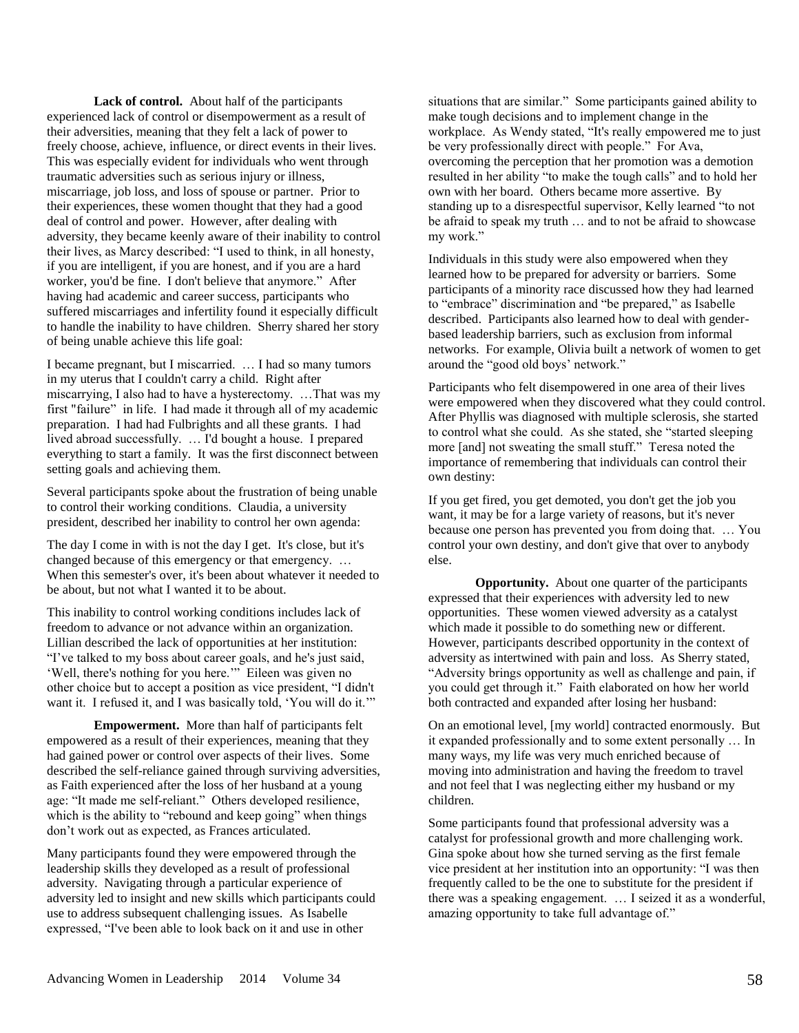**Lack of control.** About half of the participants experienced lack of control or disempowerment as a result of their adversities, meaning that they felt a lack of power to freely choose, achieve, influence, or direct events in their lives. This was especially evident for individuals who went through traumatic adversities such as serious injury or illness, miscarriage, job loss, and loss of spouse or partner. Prior to their experiences, these women thought that they had a good deal of control and power. However, after dealing with adversity, they became keenly aware of their inability to control their lives, as Marcy described: "I used to think, in all honesty, if you are intelligent, if you are honest, and if you are a hard worker, you'd be fine. I don't believe that anymore." After having had academic and career success, participants who suffered miscarriages and infertility found it especially difficult to handle the inability to have children. Sherry shared her story of being unable achieve this life goal:

I became pregnant, but I miscarried. … I had so many tumors in my uterus that I couldn't carry a child. Right after miscarrying, I also had to have a hysterectomy. …That was my first "failure" in life. I had made it through all of my academic preparation. I had had Fulbrights and all these grants. I had lived abroad successfully. … I'd bought a house. I prepared everything to start a family. It was the first disconnect between setting goals and achieving them.

Several participants spoke about the frustration of being unable to control their working conditions. Claudia, a university president, described her inability to control her own agenda:

The day I come in with is not the day I get. It's close, but it's changed because of this emergency or that emergency. … When this semester's over, it's been about whatever it needed to be about, but not what I wanted it to be about.

This inability to control working conditions includes lack of freedom to advance or not advance within an organization. Lillian described the lack of opportunities at her institution: "I've talked to my boss about career goals, and he's just said, 'Well, there's nothing for you here.'" Eileen was given no other choice but to accept a position as vice president, "I didn't want it. I refused it, and I was basically told, 'You will do it.'"

**Empowerment.** More than half of participants felt empowered as a result of their experiences, meaning that they had gained power or control over aspects of their lives. Some described the self-reliance gained through surviving adversities, as Faith experienced after the loss of her husband at a young age: "It made me self-reliant." Others developed resilience, which is the ability to "rebound and keep going" when things don't work out as expected, as Frances articulated.

Many participants found they were empowered through the leadership skills they developed as a result of professional adversity. Navigating through a particular experience of adversity led to insight and new skills which participants could use to address subsequent challenging issues. As Isabelle expressed, "I've been able to look back on it and use in other

situations that are similar." Some participants gained ability to make tough decisions and to implement change in the workplace. As Wendy stated, "It's really empowered me to just be very professionally direct with people." For Ava, overcoming the perception that her promotion was a demotion resulted in her ability "to make the tough calls" and to hold her own with her board. Others became more assertive. By standing up to a disrespectful supervisor, Kelly learned "to not be afraid to speak my truth … and to not be afraid to showcase my work."

Individuals in this study were also empowered when they learned how to be prepared for adversity or barriers. Some participants of a minority race discussed how they had learned to "embrace" discrimination and "be prepared," as Isabelle described. Participants also learned how to deal with genderbased leadership barriers, such as exclusion from informal networks. For example, Olivia built a network of women to get around the "good old boys' network."

Participants who felt disempowered in one area of their lives were empowered when they discovered what they could control. After Phyllis was diagnosed with multiple sclerosis, she started to control what she could. As she stated, she "started sleeping more [and] not sweating the small stuff." Teresa noted the importance of remembering that individuals can control their own destiny:

If you get fired, you get demoted, you don't get the job you want, it may be for a large variety of reasons, but it's never because one person has prevented you from doing that. … You control your own destiny, and don't give that over to anybody else.

**Opportunity.** About one quarter of the participants expressed that their experiences with adversity led to new opportunities. These women viewed adversity as a catalyst which made it possible to do something new or different. However, participants described opportunity in the context of adversity as intertwined with pain and loss. As Sherry stated, "Adversity brings opportunity as well as challenge and pain, if you could get through it." Faith elaborated on how her world both contracted and expanded after losing her husband:

On an emotional level, [my world] contracted enormously. But it expanded professionally and to some extent personally … In many ways, my life was very much enriched because of moving into administration and having the freedom to travel and not feel that I was neglecting either my husband or my children.

Some participants found that professional adversity was a catalyst for professional growth and more challenging work. Gina spoke about how she turned serving as the first female vice president at her institution into an opportunity: "I was then frequently called to be the one to substitute for the president if there was a speaking engagement. … I seized it as a wonderful, amazing opportunity to take full advantage of."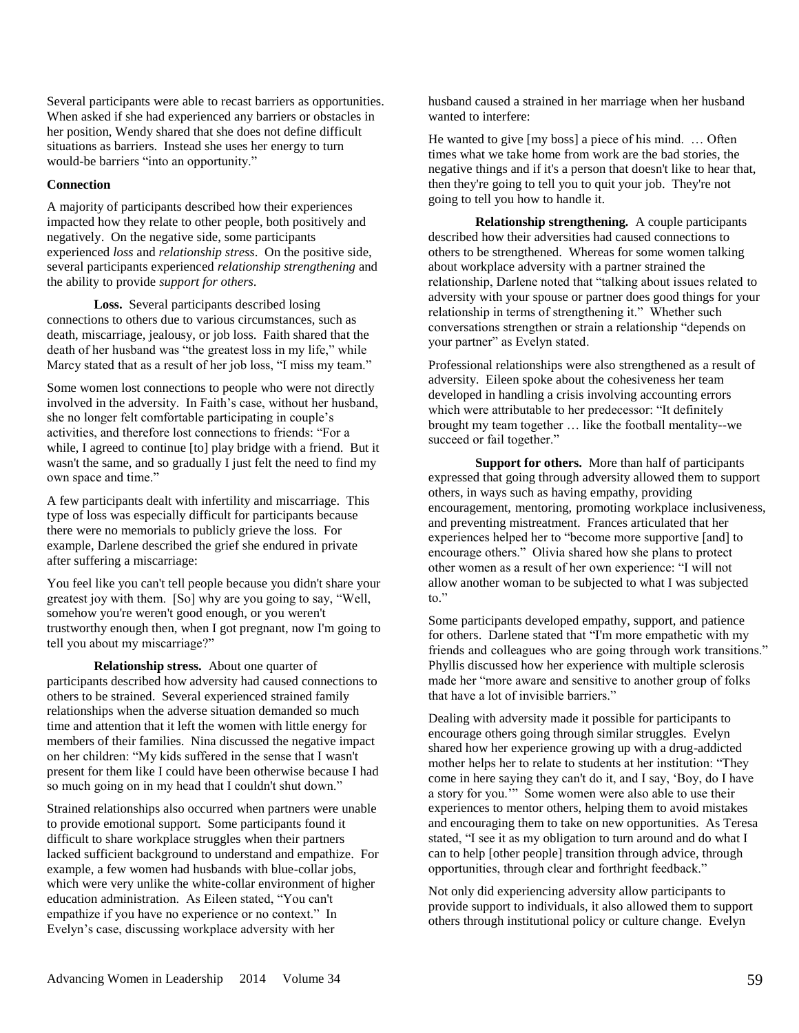Several participants were able to recast barriers as opportunities. When asked if she had experienced any barriers or obstacles in her position, Wendy shared that she does not define difficult situations as barriers. Instead she uses her energy to turn would-be barriers "into an opportunity."

#### **Connection**

A majority of participants described how their experiences impacted how they relate to other people, both positively and negatively. On the negative side, some participants experienced *loss* and *relationship stress*. On the positive side, several participants experienced *relationship strengthening* and the ability to provide *support for others*.

**Loss.** Several participants described losing connections to others due to various circumstances, such as death, miscarriage, jealousy, or job loss. Faith shared that the death of her husband was "the greatest loss in my life," while Marcy stated that as a result of her job loss, "I miss my team."

Some women lost connections to people who were not directly involved in the adversity. In Faith's case, without her husband, she no longer felt comfortable participating in couple's activities, and therefore lost connections to friends: "For a while. I agreed to continue [to] play bridge with a friend. But it wasn't the same, and so gradually I just felt the need to find my own space and time."

A few participants dealt with infertility and miscarriage. This type of loss was especially difficult for participants because there were no memorials to publicly grieve the loss. For example, Darlene described the grief she endured in private after suffering a miscarriage:

You feel like you can't tell people because you didn't share your greatest joy with them. [So] why are you going to say, "Well, somehow you're weren't good enough, or you weren't trustworthy enough then, when I got pregnant, now I'm going to tell you about my miscarriage?"

**Relationship stress.** About one quarter of participants described how adversity had caused connections to others to be strained. Several experienced strained family relationships when the adverse situation demanded so much time and attention that it left the women with little energy for members of their families. Nina discussed the negative impact on her children: "My kids suffered in the sense that I wasn't present for them like I could have been otherwise because I had so much going on in my head that I couldn't shut down."

Strained relationships also occurred when partners were unable to provide emotional support. Some participants found it difficult to share workplace struggles when their partners lacked sufficient background to understand and empathize. For example, a few women had husbands with blue-collar jobs, which were very unlike the white-collar environment of higher education administration. As Eileen stated, "You can't empathize if you have no experience or no context." In Evelyn's case, discussing workplace adversity with her

husband caused a strained in her marriage when her husband wanted to interfere:

He wanted to give [my boss] a piece of his mind. … Often times what we take home from work are the bad stories, the negative things and if it's a person that doesn't like to hear that, then they're going to tell you to quit your job. They're not going to tell you how to handle it.

**Relationship strengthening***.* A couple participants described how their adversities had caused connections to others to be strengthened. Whereas for some women talking about workplace adversity with a partner strained the relationship, Darlene noted that "talking about issues related to adversity with your spouse or partner does good things for your relationship in terms of strengthening it." Whether such conversations strengthen or strain a relationship "depends on your partner" as Evelyn stated.

Professional relationships were also strengthened as a result of adversity. Eileen spoke about the cohesiveness her team developed in handling a crisis involving accounting errors which were attributable to her predecessor: "It definitely brought my team together … like the football mentality--we succeed or fail together."

**Support for others.** More than half of participants expressed that going through adversity allowed them to support others, in ways such as having empathy, providing encouragement, mentoring, promoting workplace inclusiveness, and preventing mistreatment. Frances articulated that her experiences helped her to "become more supportive [and] to encourage others." Olivia shared how she plans to protect other women as a result of her own experience: "I will not allow another woman to be subjected to what I was subjected to."

Some participants developed empathy, support, and patience for others. Darlene stated that "I'm more empathetic with my friends and colleagues who are going through work transitions." Phyllis discussed how her experience with multiple sclerosis made her "more aware and sensitive to another group of folks that have a lot of invisible barriers."

Dealing with adversity made it possible for participants to encourage others going through similar struggles. Evelyn shared how her experience growing up with a drug-addicted mother helps her to relate to students at her institution: "They come in here saying they can't do it, and I say, 'Boy, do I have a story for you.'" Some women were also able to use their experiences to mentor others, helping them to avoid mistakes and encouraging them to take on new opportunities. As Teresa stated, "I see it as my obligation to turn around and do what I can to help [other people] transition through advice, through opportunities, through clear and forthright feedback."

Not only did experiencing adversity allow participants to provide support to individuals, it also allowed them to support others through institutional policy or culture change. Evelyn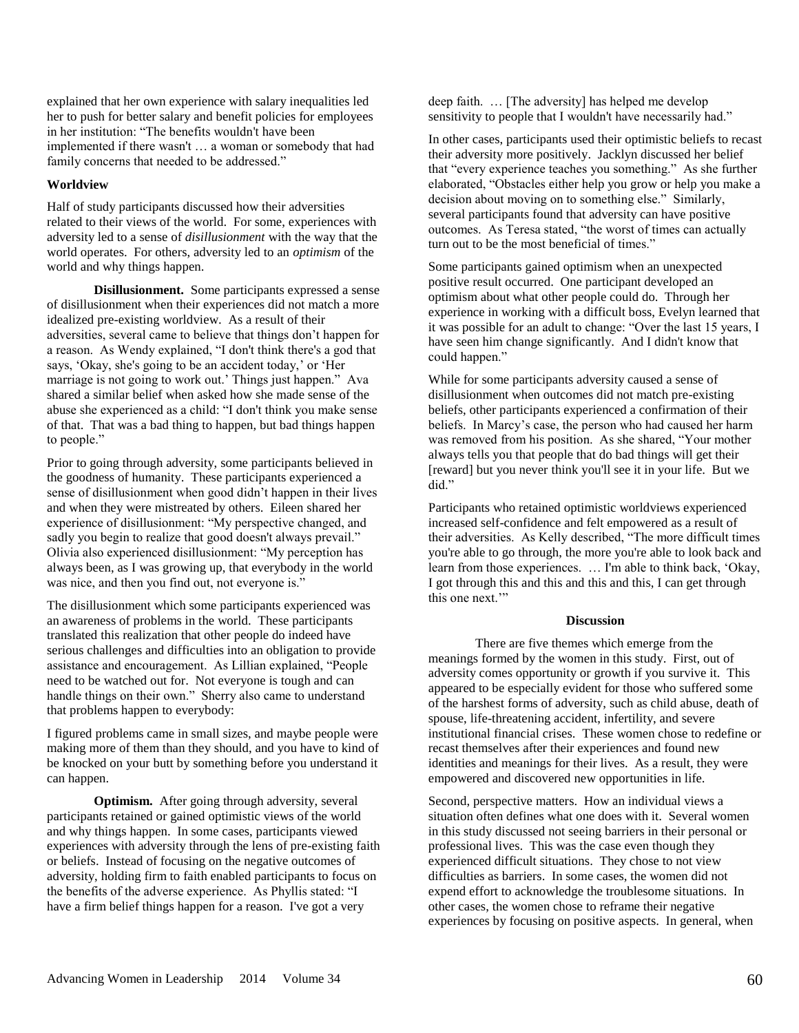explained that her own experience with salary inequalities led her to push for better salary and benefit policies for employees in her institution: "The benefits wouldn't have been implemented if there wasn't … a woman or somebody that had family concerns that needed to be addressed."

#### **Worldview**

Half of study participants discussed how their adversities related to their views of the world. For some, experiences with adversity led to a sense of *disillusionment* with the way that the world operates. For others, adversity led to an *optimism* of the world and why things happen.

**Disillusionment.** Some participants expressed a sense of disillusionment when their experiences did not match a more idealized pre-existing worldview. As a result of their adversities, several came to believe that things don't happen for a reason. As Wendy explained, "I don't think there's a god that says, 'Okay, she's going to be an accident today,' or 'Her marriage is not going to work out.' Things just happen." Ava shared a similar belief when asked how she made sense of the abuse she experienced as a child: "I don't think you make sense of that. That was a bad thing to happen, but bad things happen to people."

Prior to going through adversity, some participants believed in the goodness of humanity. These participants experienced a sense of disillusionment when good didn't happen in their lives and when they were mistreated by others. Eileen shared her experience of disillusionment: "My perspective changed, and sadly you begin to realize that good doesn't always prevail." Olivia also experienced disillusionment: "My perception has always been, as I was growing up, that everybody in the world was nice, and then you find out, not everyone is."

The disillusionment which some participants experienced was an awareness of problems in the world. These participants translated this realization that other people do indeed have serious challenges and difficulties into an obligation to provide assistance and encouragement. As Lillian explained, "People need to be watched out for. Not everyone is tough and can handle things on their own." Sherry also came to understand that problems happen to everybody:

I figured problems came in small sizes, and maybe people were making more of them than they should, and you have to kind of be knocked on your butt by something before you understand it can happen.

**Optimism.** After going through adversity, several participants retained or gained optimistic views of the world and why things happen. In some cases, participants viewed experiences with adversity through the lens of pre-existing faith or beliefs. Instead of focusing on the negative outcomes of adversity, holding firm to faith enabled participants to focus on the benefits of the adverse experience. As Phyllis stated: "I have a firm belief things happen for a reason. I've got a very

deep faith. … [The adversity] has helped me develop sensitivity to people that I wouldn't have necessarily had."

In other cases, participants used their optimistic beliefs to recast their adversity more positively. Jacklyn discussed her belief that "every experience teaches you something." As she further elaborated, "Obstacles either help you grow or help you make a decision about moving on to something else." Similarly, several participants found that adversity can have positive outcomes. As Teresa stated, "the worst of times can actually turn out to be the most beneficial of times."

Some participants gained optimism when an unexpected positive result occurred. One participant developed an optimism about what other people could do. Through her experience in working with a difficult boss, Evelyn learned that it was possible for an adult to change: "Over the last 15 years, I have seen him change significantly. And I didn't know that could happen."

While for some participants adversity caused a sense of disillusionment when outcomes did not match pre-existing beliefs, other participants experienced a confirmation of their beliefs. In Marcy's case, the person who had caused her harm was removed from his position. As she shared, "Your mother always tells you that people that do bad things will get their [reward] but you never think you'll see it in your life. But we did."

Participants who retained optimistic worldviews experienced increased self-confidence and felt empowered as a result of their adversities. As Kelly described, "The more difficult times you're able to go through, the more you're able to look back and learn from those experiences. … I'm able to think back, 'Okay, I got through this and this and this and this, I can get through this one next.'"

#### **Discussion**

There are five themes which emerge from the meanings formed by the women in this study. First, out of adversity comes opportunity or growth if you survive it. This appeared to be especially evident for those who suffered some of the harshest forms of adversity, such as child abuse, death of spouse, life-threatening accident, infertility, and severe institutional financial crises. These women chose to redefine or recast themselves after their experiences and found new identities and meanings for their lives. As a result, they were empowered and discovered new opportunities in life.

Second, perspective matters. How an individual views a situation often defines what one does with it. Several women in this study discussed not seeing barriers in their personal or professional lives. This was the case even though they experienced difficult situations. They chose to not view difficulties as barriers. In some cases, the women did not expend effort to acknowledge the troublesome situations. In other cases, the women chose to reframe their negative experiences by focusing on positive aspects. In general, when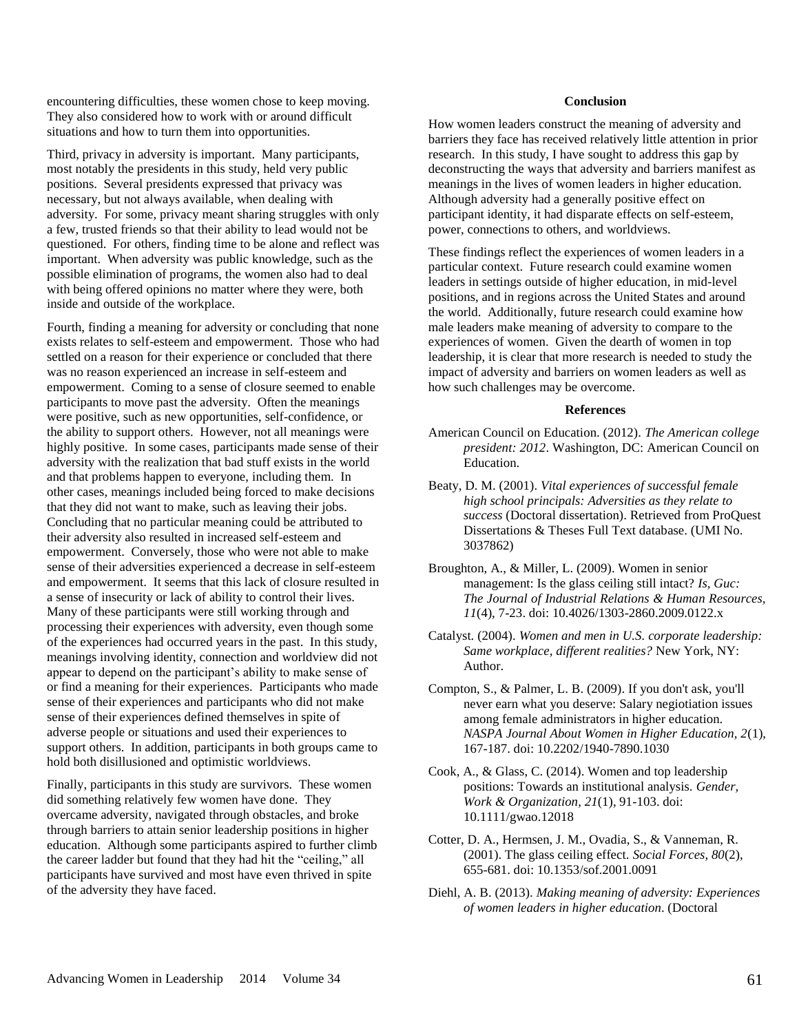encountering difficulties, these women chose to keep moving. They also considered how to work with or around difficult situations and how to turn them into opportunities.

Third, privacy in adversity is important. Many participants, most notably the presidents in this study, held very public positions. Several presidents expressed that privacy was necessary, but not always available, when dealing with adversity. For some, privacy meant sharing struggles with only a few, trusted friends so that their ability to lead would not be questioned. For others, finding time to be alone and reflect was important. When adversity was public knowledge, such as the possible elimination of programs, the women also had to deal with being offered opinions no matter where they were, both inside and outside of the workplace.

Fourth, finding a meaning for adversity or concluding that none exists relates to self-esteem and empowerment. Those who had settled on a reason for their experience or concluded that there was no reason experienced an increase in self-esteem and empowerment. Coming to a sense of closure seemed to enable participants to move past the adversity. Often the meanings were positive, such as new opportunities, self-confidence, or the ability to support others. However, not all meanings were highly positive. In some cases, participants made sense of their adversity with the realization that bad stuff exists in the world and that problems happen to everyone, including them. In other cases, meanings included being forced to make decisions that they did not want to make, such as leaving their jobs. Concluding that no particular meaning could be attributed to their adversity also resulted in increased self-esteem and empowerment. Conversely, those who were not able to make sense of their adversities experienced a decrease in self-esteem and empowerment. It seems that this lack of closure resulted in a sense of insecurity or lack of ability to control their lives. Many of these participants were still working through and processing their experiences with adversity, even though some of the experiences had occurred years in the past. In this study, meanings involving identity, connection and worldview did not appear to depend on the participant's ability to make sense of or find a meaning for their experiences. Participants who made sense of their experiences and participants who did not make sense of their experiences defined themselves in spite of adverse people or situations and used their experiences to support others. In addition, participants in both groups came to hold both disillusioned and optimistic worldviews.

Finally, participants in this study are survivors. These women did something relatively few women have done. They overcame adversity, navigated through obstacles, and broke through barriers to attain senior leadership positions in higher education. Although some participants aspired to further climb the career ladder but found that they had hit the "ceiling," all participants have survived and most have even thrived in spite of the adversity they have faced.

#### **Conclusion**

How women leaders construct the meaning of adversity and barriers they face has received relatively little attention in prior research. In this study, I have sought to address this gap by deconstructing the ways that adversity and barriers manifest as meanings in the lives of women leaders in higher education. Although adversity had a generally positive effect on participant identity, it had disparate effects on self-esteem, power, connections to others, and worldviews.

These findings reflect the experiences of women leaders in a particular context. Future research could examine women leaders in settings outside of higher education, in mid-level positions, and in regions across the United States and around the world. Additionally, future research could examine how male leaders make meaning of adversity to compare to the experiences of women. Given the dearth of women in top leadership, it is clear that more research is needed to study the impact of adversity and barriers on women leaders as well as how such challenges may be overcome.

#### **References**

- American Council on Education. (2012). *The American college president: 2012*. Washington, DC: American Council on Education.
- Beaty, D. M. (2001). *Vital experiences of successful female high school principals: Adversities as they relate to success* (Doctoral dissertation). Retrieved from ProQuest Dissertations & Theses Full Text database. (UMI No. 3037862)
- Broughton, A., & Miller, L. (2009). Women in senior management: Is the glass ceiling still intact? *Is, Guc: The Journal of Industrial Relations & Human Resources, 11*(4), 7-23. doi: 10.4026/1303-2860.2009.0122.x
- Catalyst. (2004). *Women and men in U.S. corporate leadership: Same workplace, different realities?* New York, NY: Author.
- Compton, S., & Palmer, L. B. (2009). If you don't ask, you'll never earn what you deserve: Salary negiotiation issues among female administrators in higher education. *NASPA Journal About Women in Higher Education, 2*(1), 167-187. doi: 10.2202/1940-7890.1030
- Cook, A., & Glass, C. (2014). Women and top leadership positions: Towards an institutional analysis. *Gender, Work & Organization, 21*(1), 91-103. doi: 10.1111/gwao.12018
- Cotter, D. A., Hermsen, J. M., Ovadia, S., & Vanneman, R. (2001). The glass ceiling effect. *Social Forces, 80*(2), 655-681. doi: 10.1353/sof.2001.0091
- Diehl, A. B. (2013). *Making meaning of adversity: Experiences of women leaders in higher education*. (Doctoral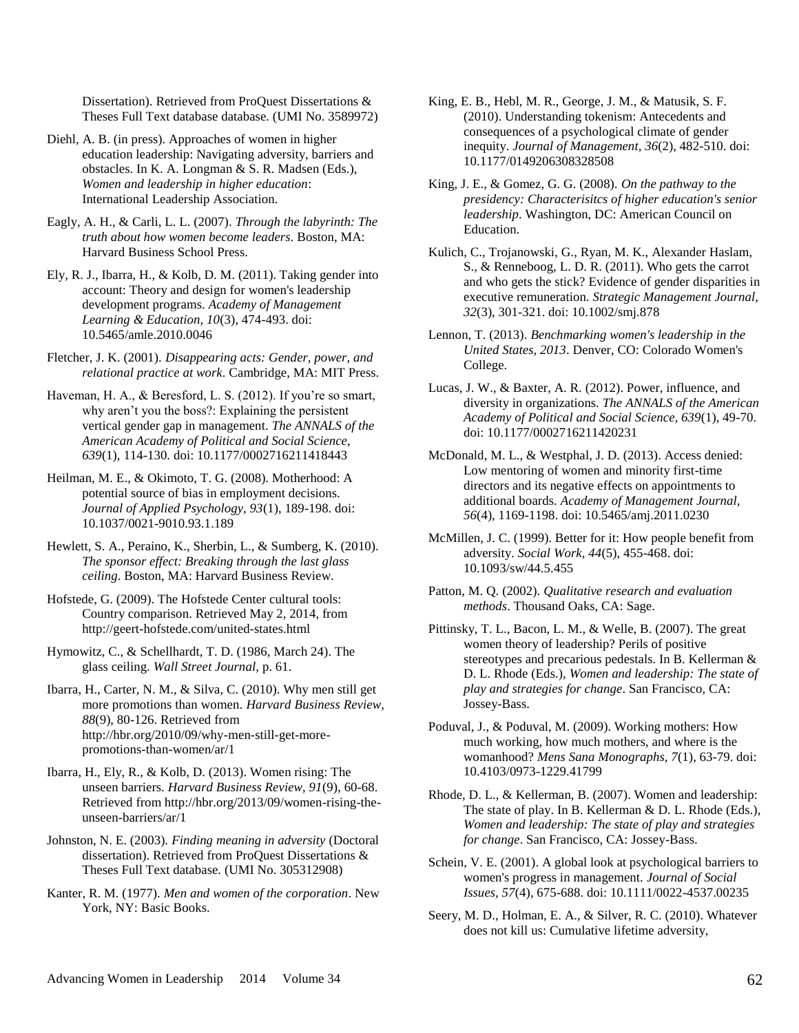Dissertation). Retrieved from ProQuest Dissertations & Theses Full Text database database. (UMI No. 3589972)

Diehl, A. B. (in press). Approaches of women in higher education leadership: Navigating adversity, barriers and obstacles. In K. A. Longman & S. R. Madsen (Eds.), *Women and leadership in higher education*: International Leadership Association.

Eagly, A. H., & Carli, L. L. (2007). *Through the labyrinth: The truth about how women become leaders*. Boston, MA: Harvard Business School Press.

Ely, R. J., Ibarra, H., & Kolb, D. M. (2011). Taking gender into account: Theory and design for women's leadership development programs. *Academy of Management Learning & Education, 10*(3), 474-493. doi: 10.5465/amle.2010.0046

Fletcher, J. K. (2001). *Disappearing acts: Gender, power, and relational practice at work*. Cambridge, MA: MIT Press.

Haveman, H. A., & Beresford, L. S. (2012). If you're so smart, why aren't you the boss?: Explaining the persistent vertical gender gap in management. *The ANNALS of the American Academy of Political and Social Science, 639*(1), 114-130. doi: 10.1177/0002716211418443

Heilman, M. E., & Okimoto, T. G. (2008). Motherhood: A potential source of bias in employment decisions. *Journal of Applied Psychology, 93*(1), 189-198. doi: 10.1037/0021-9010.93.1.189

Hewlett, S. A., Peraino, K., Sherbin, L., & Sumberg, K. (2010). *The sponsor effect: Breaking through the last glass ceiling*. Boston, MA: Harvard Business Review.

Hofstede, G. (2009). The Hofstede Center cultural tools: Country comparison. Retrieved May 2, 2014, from http://geert-hofstede.com/united-states.html

Hymowitz, C., & Schellhardt, T. D. (1986, March 24). The glass ceiling. *Wall Street Journal,* p. 61.

Ibarra, H., Carter, N. M., & Silva, C. (2010). Why men still get more promotions than women. *Harvard Business Review, 88*(9), 80-126. Retrieved from http://hbr.org/2010/09/why-men-still-get-morepromotions-than-women/ar/1

Ibarra, H., Ely, R., & Kolb, D. (2013). Women rising: The unseen barriers. *Harvard Business Review, 91*(9), 60-68. Retrieved from http://hbr.org/2013/09/women-rising-theunseen-barriers/ar/1

Johnston, N. E. (2003). *Finding meaning in adversity* (Doctoral dissertation). Retrieved from ProQuest Dissertations & Theses Full Text database. (UMI No. 305312908)

Kanter, R. M. (1977). *Men and women of the corporation*. New York, NY: Basic Books.

King, E. B., Hebl, M. R., George, J. M., & Matusik, S. F. (2010). Understanding tokenism: Antecedents and consequences of a psychological climate of gender inequity. *Journal of Management, 36*(2), 482-510. doi: 10.1177/0149206308328508

King, J. E., & Gomez, G. G. (2008). *On the pathway to the presidency: Characterisitcs of higher education's senior leadership*. Washington, DC: American Council on Education.

Kulich, C., Trojanowski, G., Ryan, M. K., Alexander Haslam, S., & Renneboog, L. D. R. (2011). Who gets the carrot and who gets the stick? Evidence of gender disparities in executive remuneration. *Strategic Management Journal, 32*(3), 301-321. doi: 10.1002/smj.878

Lennon, T. (2013). *Benchmarking women's leadership in the United States, 2013*. Denver, CO: Colorado Women's College.

Lucas, J. W., & Baxter, A. R. (2012). Power, influence, and diversity in organizations. *The ANNALS of the American Academy of Political and Social Science, 639*(1), 49-70. doi: 10.1177/0002716211420231

McDonald, M. L., & Westphal, J. D. (2013). Access denied: Low mentoring of women and minority first-time directors and its negative effects on appointments to additional boards. *Academy of Management Journal, 56*(4), 1169-1198. doi: 10.5465/amj.2011.0230

McMillen, J. C. (1999). Better for it: How people benefit from adversity. *Social Work, 44*(5), 455-468. doi: 10.1093/sw/44.5.455

Patton, M. Q. (2002). *Qualitative research and evaluation methods*. Thousand Oaks, CA: Sage.

Pittinsky, T. L., Bacon, L. M., & Welle, B. (2007). The great women theory of leadership? Perils of positive stereotypes and precarious pedestals. In B. Kellerman & D. L. Rhode (Eds.), *Women and leadership: The state of play and strategies for change*. San Francisco, CA: Jossey-Bass.

Poduval, J., & Poduval, M. (2009). Working mothers: How much working, how much mothers, and where is the womanhood? *Mens Sana Monographs, 7*(1), 63-79. doi: 10.4103/0973-1229.41799

Rhode, D. L., & Kellerman, B. (2007). Women and leadership: The state of play. In B. Kellerman & D. L. Rhode (Eds.), *Women and leadership: The state of play and strategies for change*. San Francisco, CA: Jossey-Bass.

Schein, V. E. (2001). A global look at psychological barriers to women's progress in management. *Journal of Social Issues, 57*(4), 675-688. doi: 10.1111/0022-4537.00235

Seery, M. D., Holman, E. A., & Silver, R. C. (2010). Whatever does not kill us: Cumulative lifetime adversity,